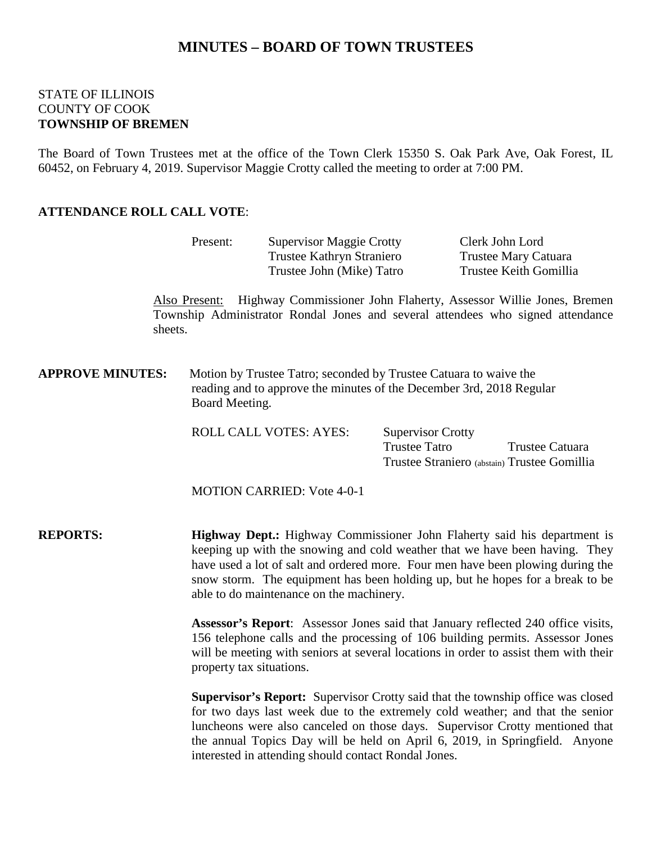## **MINUTES – BOARD OF TOWN TRUSTEES**

### STATE OF ILLINOIS COUNTY OF COOK **TOWNSHIP OF BREMEN**

The Board of Town Trustees met at the office of the Town Clerk 15350 S. Oak Park Ave, Oak Forest, IL 60452, on February 4, 2019. Supervisor Maggie Crotty called the meeting to order at 7:00 PM.

### **ATTENDANCE ROLL CALL VOTE**:

|                         | Present:                                                                                                                                                                                                                                                                                                                                                                                | <b>Supervisor Maggie Crotty</b><br>Trustee Kathryn Straniero<br>Trustee John (Mike) Tatro |                                                  | Clerk John Lord<br><b>Trustee Mary Catuara</b><br>Trustee Keith Gomillia                                                                             |  |
|-------------------------|-----------------------------------------------------------------------------------------------------------------------------------------------------------------------------------------------------------------------------------------------------------------------------------------------------------------------------------------------------------------------------------------|-------------------------------------------------------------------------------------------|--------------------------------------------------|------------------------------------------------------------------------------------------------------------------------------------------------------|--|
| sheets.                 | Also Present:                                                                                                                                                                                                                                                                                                                                                                           |                                                                                           |                                                  | Highway Commissioner John Flaherty, Assessor Willie Jones, Bremen<br>Township Administrator Rondal Jones and several attendees who signed attendance |  |
| <b>APPROVE MINUTES:</b> | Motion by Trustee Tatro; seconded by Trustee Catuara to waive the<br>reading and to approve the minutes of the December 3rd, 2018 Regular<br>Board Meeting.                                                                                                                                                                                                                             |                                                                                           |                                                  |                                                                                                                                                      |  |
|                         |                                                                                                                                                                                                                                                                                                                                                                                         | ROLL CALL VOTES: AYES:                                                                    | <b>Supervisor Crotty</b><br><b>Trustee Tatro</b> | Trustee Catuara<br>Trustee Straniero (abstain) Trustee Gomillia                                                                                      |  |
|                         |                                                                                                                                                                                                                                                                                                                                                                                         | <b>MOTION CARRIED: Vote 4-0-1</b>                                                         |                                                  |                                                                                                                                                      |  |
| <b>REPORTS:</b>         | <b>Highway Dept.:</b> Highway Commissioner John Flaherty said his department is<br>keeping up with the snowing and cold weather that we have been having. They<br>have used a lot of salt and ordered more. Four men have been plowing during the<br>snow storm. The equipment has been holding up, but he hopes for a break to be<br>able to do maintenance on the machinery.          |                                                                                           |                                                  |                                                                                                                                                      |  |
|                         | Assessor's Report: Assessor Jones said that January reflected 240 office visits,<br>156 telephone calls and the processing of 106 building permits. Assessor Jones<br>will be meeting with seniors at several locations in order to assist them with their<br>property tax situations.                                                                                                  |                                                                                           |                                                  |                                                                                                                                                      |  |
|                         | Supervisor's Report: Supervisor Crotty said that the township office was closed<br>for two days last week due to the extremely cold weather; and that the senior<br>luncheons were also canceled on those days. Supervisor Crotty mentioned that<br>the annual Topics Day will be held on April 6, 2019, in Springfield. Anyone<br>interested in attending should contact Rondal Jones. |                                                                                           |                                                  |                                                                                                                                                      |  |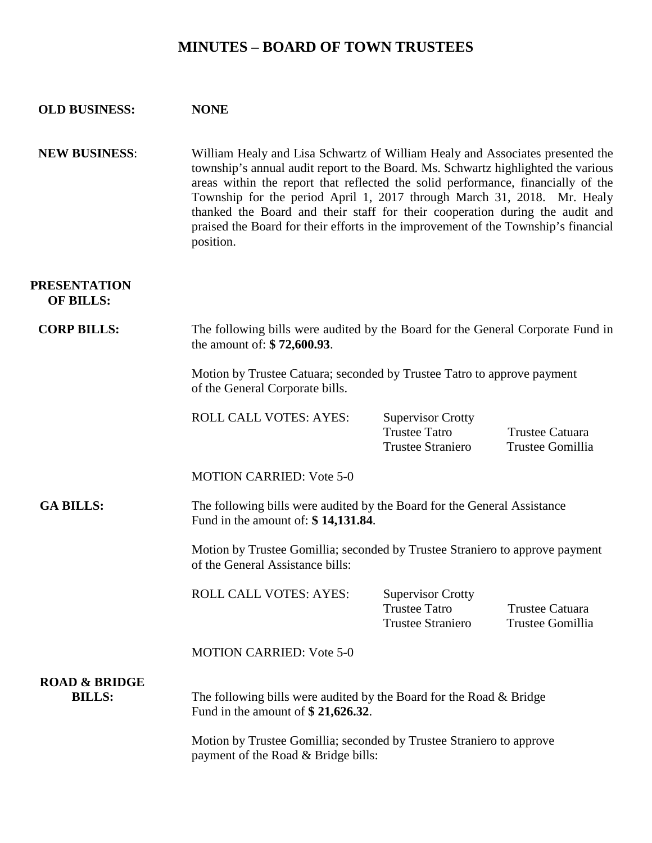# **MINUTES – BOARD OF TOWN TRUSTEES**

| <b>OLD BUSINESS:</b>                      | <b>NONE</b>                                                                                                                                                                                                                                                                                                                                                                                                                                                                                                          |                                                                              |                                     |  |  |  |
|-------------------------------------------|----------------------------------------------------------------------------------------------------------------------------------------------------------------------------------------------------------------------------------------------------------------------------------------------------------------------------------------------------------------------------------------------------------------------------------------------------------------------------------------------------------------------|------------------------------------------------------------------------------|-------------------------------------|--|--|--|
| <b>NEW BUSINESS:</b>                      | William Healy and Lisa Schwartz of William Healy and Associates presented the<br>township's annual audit report to the Board. Ms. Schwartz highlighted the various<br>areas within the report that reflected the solid performance, financially of the<br>Township for the period April 1, 2017 through March 31, 2018. Mr. Healy<br>thanked the Board and their staff for their cooperation during the audit and<br>praised the Board for their efforts in the improvement of the Township's financial<br>position. |                                                                              |                                     |  |  |  |
| <b>PRESENTATION</b><br><b>OF BILLS:</b>   |                                                                                                                                                                                                                                                                                                                                                                                                                                                                                                                      |                                                                              |                                     |  |  |  |
| <b>CORP BILLS:</b>                        | The following bills were audited by the Board for the General Corporate Fund in<br>the amount of: \$72,600.93.                                                                                                                                                                                                                                                                                                                                                                                                       |                                                                              |                                     |  |  |  |
|                                           | Motion by Trustee Catuara; seconded by Trustee Tatro to approve payment<br>of the General Corporate bills.                                                                                                                                                                                                                                                                                                                                                                                                           |                                                                              |                                     |  |  |  |
|                                           | <b>ROLL CALL VOTES: AYES:</b>                                                                                                                                                                                                                                                                                                                                                                                                                                                                                        | <b>Supervisor Crotty</b><br><b>Trustee Tatro</b><br><b>Trustee Straniero</b> | Trustee Catuara<br>Trustee Gomillia |  |  |  |
|                                           | <b>MOTION CARRIED: Vote 5-0</b>                                                                                                                                                                                                                                                                                                                                                                                                                                                                                      |                                                                              |                                     |  |  |  |
| <b>GA BILLS:</b>                          | The following bills were audited by the Board for the General Assistance<br>Fund in the amount of: \$14,131.84.                                                                                                                                                                                                                                                                                                                                                                                                      |                                                                              |                                     |  |  |  |
|                                           | Motion by Trustee Gomillia; seconded by Trustee Straniero to approve payment<br>of the General Assistance bills:                                                                                                                                                                                                                                                                                                                                                                                                     |                                                                              |                                     |  |  |  |
|                                           | <b>ROLL CALL VOTES: AYES:</b>                                                                                                                                                                                                                                                                                                                                                                                                                                                                                        | <b>Supervisor Crotty</b><br><b>Trustee Tatro</b><br><b>Trustee Straniero</b> | Trustee Catuara<br>Trustee Gomillia |  |  |  |
|                                           | <b>MOTION CARRIED: Vote 5-0</b>                                                                                                                                                                                                                                                                                                                                                                                                                                                                                      |                                                                              |                                     |  |  |  |
| <b>ROAD &amp; BRIDGE</b><br><b>BILLS:</b> | The following bills were audited by the Board for the Road $\&$ Bridge<br>Fund in the amount of $$21,626.32$ .                                                                                                                                                                                                                                                                                                                                                                                                       |                                                                              |                                     |  |  |  |
|                                           | Motion by Trustee Gomillia; seconded by Trustee Straniero to approve<br>payment of the Road & Bridge bills:                                                                                                                                                                                                                                                                                                                                                                                                          |                                                                              |                                     |  |  |  |